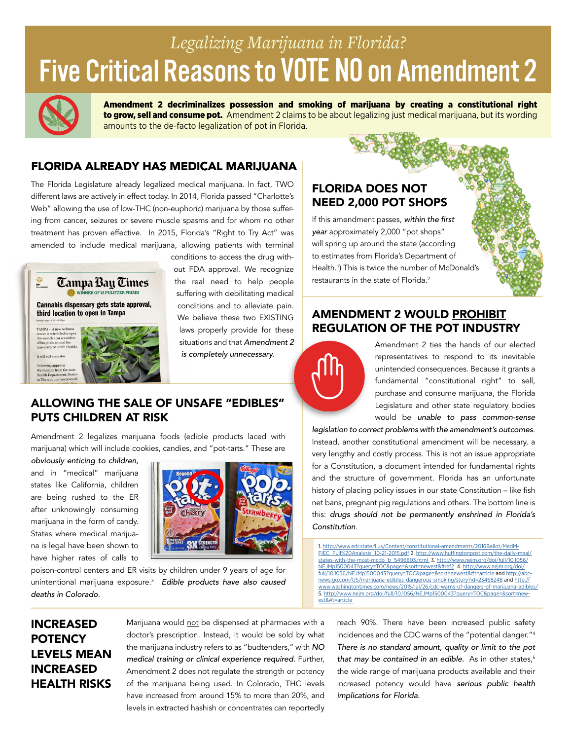# Five Critical Reasons to **VOTE NO** on Amendment 2 *Legalizing Marijuana in Florida?*



Amendment 2 decriminalizes possession and smoking of marijuana by creating a constitutional right to grow, sell and consume pot. Amendment 2 claims to be about legalizing just medical marijuana, but its wording amounts to the de-facto legalization of pot in Florida.

# FLORIDA ALREADY HAS MEDICAL MARIJUANA

The Florida Legislature already legalized medical marijuana. In fact, TWO different laws are actively in effect today. In 2014, Florida passed "Charlotte's Web" allowing the use of low-THC (non-euphoric) marijuana by those suffering from cancer, seizures or severe muscle spasms and for whom no other treatment has proven effective. In 2015, Florida's "Right to Try Act" was amended to include medical marijuana, allowing patients with terminal



conditions to access the drug without FDA approval. We recognize the real need to help people suffering with debilitating medical conditions and to alleviate pain. We believe these two EXISTING laws properly provide for these situations and that *Amendment 2 is completely unnecessary.*

## ALLOWING THE SALE OF UNSAFE "EDIBLES" PUTS CHILDREN AT RISK

Amendment 2 legalizes marijuana foods (edible products laced with marijuana) which will include cookies, candies, and "pot-tarts." These are

*obviously enticing to children,* and in "medical" marijuana states like California, children are being rushed to the ER after unknowingly consuming marijuana in the form of candy. States where medical marijuana is legal have been shown to have higher rates of calls to



poison-control centers and ER visits by children under 9 years of age for unintentional marijuana exposure[.3](http://www.nejm.org/doi/full/10.1056/NEJMp1500043?query=TOC&page=&sort=newest&#ref2 ) *Edible products have also caused deaths in Colorado.*

# FLORIDA DOES NOT NEED 2,000 POT SHOPS

If this amendment passes, *within the first year* approximately 2,000 "pot shops" will spring up around the state (according to estimates from Florida's Department of Health.[1](http://www.edr.state.fl.us/Content/constitutional-amendments/2016Ballot/MedMFIEC_Full%20Analysis_10-21-2015.pdf) ) This is twice the number of McDonald's restaurants in the state of Florida.<sup>[2](http://www.huffingtonpost.com/the-daily-meal/states-with-the-most-mcdo_b_5496803.html )</sup>

## AMENDMENT 2 WOULD PROHIBIT REGULATION OF THE POT INDUSTRY



Amendment 2 ties the hands of our elected representatives to respond to its inevitable unintended consequences. Because it grants a fundamental "constitutional right" to sell, purchase and consume marijuana, the Florida Legislature and other state regulatory bodies would be *unable to pass common-sense* 

*legislation to correct problems with the amendment's outcomes*. Instead, another constitutional amendment will be necessary, a very lengthy and costly process. This is not an issue appropriate for a Constitution, a document intended for fundamental rights and the structure of government. Florida has an unfortunate history of placing policy issues in our state Constitution – like fish net bans, pregnant pig regulations and others. The bottom line is this: *drugs should not be permanently enshrined in Florida's Constitution*.

1. [http://www.edr.state.fl.us/Content/constitutional-amendments/2016Ballot/MedM-](http://www.edr.state.fl.us/Content/constitutional-amendments/2016Ballot/MedMFIEC_Full%20Analysis_10-21-2015.pdf)[FIEC\\_Full%20Analysis\\_10-21-2015.pdf](http://www.edr.state.fl.us/Content/constitutional-amendments/2016Ballot/MedMFIEC_Full%20Analysis_10-21-2015.pdf) 2. [http://www.huffingtonpost.com/the-daily-meal/](http://www.huffingtonpost.com/the-daily-meal/states-with-the-most-mcdo_b_5496803.html ) [states-with-the-most-mcdo\\_b\\_5496803.html](http://www.huffingtonpost.com/the-daily-meal/states-with-the-most-mcdo_b_5496803.html ) 3. [http://www.nejm.org/doi/full/10.1056/](http://www.nejm.org/doi/full/10.1056/NEJMp1500043?query=TOC&page=&sort=newest&#ref2) [NEJMp1500043?query=TOC&page=&sort=newest&#ref2](http://www.nejm.org/doi/full/10.1056/NEJMp1500043?query=TOC&page=&sort=newest&#ref2) 4. [http://www.nejm.org/doi/](http://www.nejm.org/doi/full/10.1056/NEJMp1500043?query=TOC&page=&sort=newest&#t=article) [full/10.1056/NEJMp1500043?query=TOC&page=&sort=newest&#t=article](http://www.nejm.org/doi/full/10.1056/NEJMp1500043?query=TOC&page=&sort=newest&#t=article) and [http://abc](http://abcnews.go.com/US/marijuana-edibles-dangerous-smoking/story?id=23468248)[news.go.com/US/marijuana-edibles-dangerous-smoking/story?id=23468248](http://abcnews.go.com/US/marijuana-edibles-dangerous-smoking/story?id=23468248) and [http://](http://www.washingtontimes.com/news/2015/jul/26/cdc-warns-of-dangers-of-marijuana-edibles/) [www.washingtontimes.com/news/2015/jul/26/cdc-warns-of-dangers-of-marijuana-edibles/](http://www.washingtontimes.com/news/2015/jul/26/cdc-warns-of-dangers-of-marijuana-edibles/) 5. [http://www.nejm.org/doi/full/10.1056/NEJMp1500043?query=TOC&page=&sort=new](http://www.nejm.org/doi/full/10.1056/NEJMp1500043?query=TOC&page=&sort=newest&#t=article )[est&#t=article](http://www.nejm.org/doi/full/10.1056/NEJMp1500043?query=TOC&page=&sort=newest&#t=article ) 

# INCREASED **POTENCY** LEVELS MEAN INCREASED HEALTH RISKS

Marijuana would not be dispensed at pharmacies with a doctor's prescription. Instead, it would be sold by what the marijuana industry refers to as "budtenders," with *NO medical training or clinical experience required.* Further, Amendment 2 does not regulate the strength or potency of the marijuana being used. In Colorado, THC levels have increased from around 15% to more than 20%, and levels in extracted hashish or concentrates can reportedly

reach 90%. There have been increased public safety incidences and the CDC warns of the "potential danger.["4](http://www.nejm.org/doi/full/10.1056/NEJMp1500043?query=TOC&page=&sort=newest&#t=article and http://abcnews.go.com/US/marijuana-edibles-dangerous-smoking/story?id=23468248 and http://www.washingtontimes.com/news/2015/jul/26/cdc-warns-of-dangers-of-marijuana-edibles/ ) *There is no standard amount, quality or limit to the pot*  that may be contained in an edible. As in other states,<sup>5</sup> the wide range of marijuana products available and their increased potency would have *serious public health implications for Florida.*